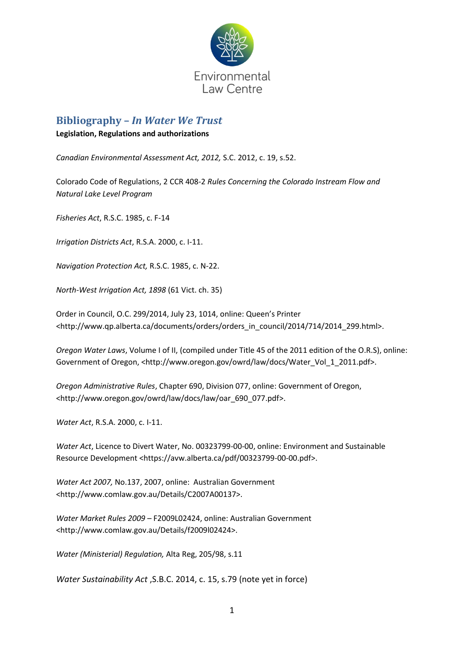

# **Bibliography –** *In Water We Trust*

#### **Legislation, Regulations and authorizations**

*Canadian Environmental Assessment Act, 2012,* S.C. 2012, c. 19, s.52.

Colorado Code of Regulations, 2 CCR 408-2 *Rules Concerning the Colorado Instream Flow and Natural Lake Level Program*

*Fisheries Act*, R.S.C. 1985, c. F-14

*Irrigation Districts Act*, R.S.A. 2000, c. I-11.

*Navigation Protection Act,* R.S.C. 1985, c. N-22.

*North-West Irrigation Act, 1898* (61 Vict. ch. 35)

Order in Council, O.C. 299/2014, July 23, 1014, online: Queen's Printer <http://www.qp.alberta.ca/documents/orders/orders\_in\_council/2014/714/2014\_299.html>.

*Oregon Water Laws*, Volume I of II, (compiled under Title 45 of the 2011 edition of the O.R.S), online: Government of Oregon, <http://www.oregon.gov/owrd/law/docs/Water\_Vol\_1\_2011.pdf>.

*Oregon Administrative Rules*, Chapter 690, Division 077, online: Government of Oregon, <http://www.oregon.gov/owrd/law/docs/law/oar\_690\_077.pdf>.

*Water Act*, R.S.A. 2000, c. I-11.

*Water Act*, Licence to Divert Water, No. 00323799-00-00, online: Environment and Sustainable Resource Development <https://avw.alberta.ca/pdf/00323799-00-00.pdf>.

*Water Act 2007,* No.137, 2007, online: Australian Government <http://www.comlaw.gov.au/Details/C2007A00137>.

*Water Market Rules 2009* – F2009L02424, online: Australian Government <http://www.comlaw.gov.au/Details/f2009l02424>.

*Water (Ministerial) Regulation,* Alta Reg, 205/98, s.11

*Water Sustainability Act* ,S.B.C. 2014, c. 15, s.79 (note yet in force)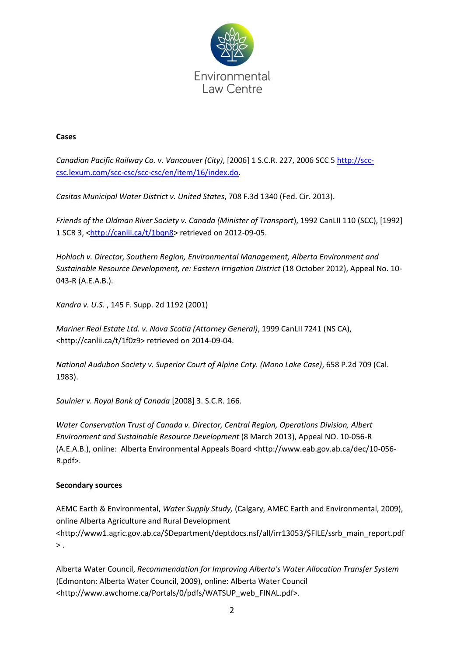

#### **Cases**

*Canadian Pacific Railway Co. v. Vancouver (City)*, [2006] 1 S.C.R. 227, 2006 SCC 5 [http://scc](http://environmentallawcentre.wordpress.com/)[csc.lexum.com/scc-csc/scc-csc/en/item/16/index.do.](http://environmentallawcentre.wordpress.com/)

*Casitas Municipal Water District v. United States*, 708 F.3d 1340 (Fed. Cir. 2013).

*Friends of the Oldman River Society v. Canada (Minister of Transport*), 1992 CanLII 110 (SCC), [1992] 1 SCR 3, [<http://canlii.ca/t/1bqn8>](http://environment.alberta.ca/01232.html) retrieved on 2012-09-05.

*Hohloch v. Director, Southern Region, Environmental Management, Alberta Environment and Sustainable Resource Development, re: Eastern Irrigation District* (18 October 2012), Appeal No. 10- 043-R (A.E.A.B.).

*Kandra v. U.S*. , 145 F. Supp. 2d 1192 (2001)

*Mariner Real Estate Ltd. v. Nova Scotia (Attorney General)*, 1999 CanLII 7241 (NS CA), <http://canlii.ca/t/1f0z9> retrieved on 2014-09-04.

*National Audubon Society v. Superior Court of Alpine Cnty. (Mono Lake Case)*, 658 P.2d 709 (Cal. 1983).

*Saulnier v. Royal Bank of Canada* [2008] 3. S.C.R. 166.

*Water Conservation Trust of Canada v. Director, Central Region, Operations Division, Albert Environment and Sustainable Resource Development* (8 March 2013), Appeal NO. 10-056-R (A.E.A.B.), online: Alberta Environmental Appeals Board <http://www.eab.gov.ab.ca/dec/10-056- R.pdf>.

#### **Secondary sources**

AEMC Earth & Environmental, *Water Supply Study,* (Calgary, AMEC Earth and Environmental, 2009), online Alberta Agriculture and Rural Development <http://www1.agric.gov.ab.ca/\$Department/deptdocs.nsf/all/irr13053/\$FILE/ssrb\_main\_report.pdf  $>$ .

Alberta Water Council, *Recommendation for Improving Alberta's Water Allocation Transfer System*  (Edmonton: Alberta Water Council, 2009), online: Alberta Water Council <http://www.awchome.ca/Portals/0/pdfs/WATSUP\_web\_FINAL.pdf>.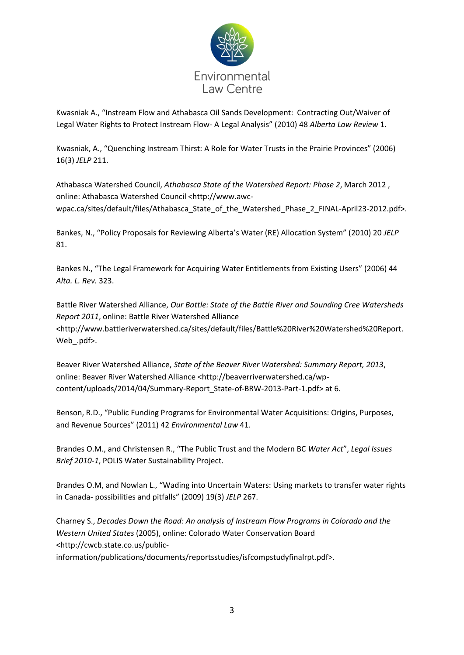

Kwasniak A., "Instream Flow and Athabasca Oil Sands Development: Contracting Out/Waiver of Legal Water Rights to Protect Instream Flow- A Legal Analysis" (2010) 48 *Alberta Law Review* 1.

Kwasniak, A., "Quenching Instream Thirst: A Role for Water Trusts in the Prairie Provinces" (2006) 16(3) *JELP* 211.

Athabasca Watershed Council, *Athabasca State of the Watershed Report: Phase 2*, March 2012 , online: Athabasca Watershed Council <http://www.awcwpac.ca/sites/default/files/Athabasca\_State\_of\_the\_Watershed\_Phase\_2\_FINAL-April23-2012.pdf>.

Bankes, N., "Policy Proposals for Reviewing Alberta's Water (RE) Allocation System" (2010) 20 *JELP* 81.

Bankes N., "The Legal Framework for Acquiring Water Entitlements from Existing Users" (2006) 44 *Alta. L. Rev.* 323.

Battle River Watershed Alliance, *Our Battle: State of the Battle River and Sounding Cree Watersheds Report 2011*, online: Battle River Watershed Alliance <http://www.battleriverwatershed.ca/sites/default/files/Battle%20River%20Watershed%20Report. Web\_.pdf>.

Beaver River Watershed Alliance, *State of the Beaver River Watershed: Summary Report, 2013*, online: Beaver River Watershed Alliance <http://beaverriverwatershed.ca/wpcontent/uploads/2014/04/Summary-Report\_State-of-BRW-2013-Part-1.pdf> at 6.

Benson, R.D., "Public Funding Programs for Environmental Water Acquisitions: Origins, Purposes, and Revenue Sources" (2011) 42 *Environmental Law* 41.

Brandes O.M., and Christensen R., "The Public Trust and the Modern BC *Water Act*", *Legal Issues Brief 2010-1*, POLIS Water Sustainability Project.

Brandes O.M, and Nowlan L., "Wading into Uncertain Waters: Using markets to transfer water rights in Canada- possibilities and pitfalls" (2009) 19(3) *JELP* 267.

Charney S., *Decades Down the Road: An analysis of Instream Flow Programs in Colorado and the Western United States* (2005), online: Colorado Water Conservation Board <http://cwcb.state.co.us/public-

information/publications/documents/reportsstudies/isfcompstudyfinalrpt.pdf>.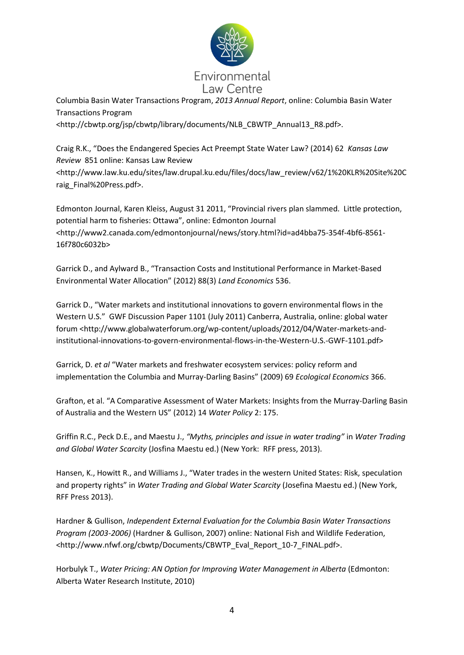

Columbia Basin Water Transactions Program, *2013 Annual Report*, online: Columbia Basin Water Transactions Program

<http://cbwtp.org/jsp/cbwtp/library/documents/NLB\_CBWTP\_Annual13\_R8.pdf>.

Craig R.K., "Does the Endangered Species Act Preempt State Water Law? (2014) 62 *Kansas Law Review* 851 online: Kansas Law Review <http://www.law.ku.edu/sites/law.drupal.ku.edu/files/docs/law\_review/v62/1%20KLR%20Site%20C raig\_Final%20Press.pdf>.

Edmonton Journal, Karen Kleiss, August 31 2011, "Provincial rivers plan slammed. Little protection, potential harm to fisheries: Ottawa", online: Edmonton Journal <http://www2.canada.com/edmontonjournal/news/story.html?id=ad4bba75-354f-4bf6-8561- 16f780c6032b>

Garrick D., and Aylward B., "Transaction Costs and Institutional Performance in Market-Based Environmental Water Allocation" (2012) 88(3) *Land Economics* 536.

Garrick D., "Water markets and institutional innovations to govern environmental flows in the Western U.S." GWF Discussion Paper 1101 (July 2011) Canberra, Australia, online: global water forum <http://www.globalwaterforum.org/wp-content/uploads/2012/04/Water-markets-andinstitutional-innovations-to-govern-environmental-flows-in-the-Western-U.S.-GWF-1101.pdf>

Garrick, D. *et al* "Water markets and freshwater ecosystem services: policy reform and implementation the Columbia and Murray-Darling Basins" (2009) 69 *Ecological Economics* 366.

Grafton, et al. "A Comparative Assessment of Water Markets: Insights from the Murray-Darling Basin of Australia and the Western US" (2012) 14 *Water Policy* 2: 175.

Griffin R.C., Peck D.E., and Maestu J., *"Myths, principles and issue in water trading"* in *Water Trading and Global Water Scarcity* (Josfina Maestu ed.) (New York: RFF press, 2013).

Hansen, K., Howitt R., and Williams J., "Water trades in the western United States: Risk, speculation and property rights" in *Water Trading and Global Water Scarcity* (Josefina Maestu ed.) (New York, RFF Press 2013).

Hardner & Gullison, *Independent External Evaluation for the Columbia Basin Water Transactions Program (2003-2006)* (Hardner & Gullison, 2007) online: National Fish and Wildlife Federation, <http://www.nfwf.org/cbwtp/Documents/CBWTP\_Eval\_Report\_10-7\_FINAL.pdf>.

Horbulyk T., *Water Pricing: AN Option for Improving Water Management in Alberta* (Edmonton: Alberta Water Research Institute, 2010)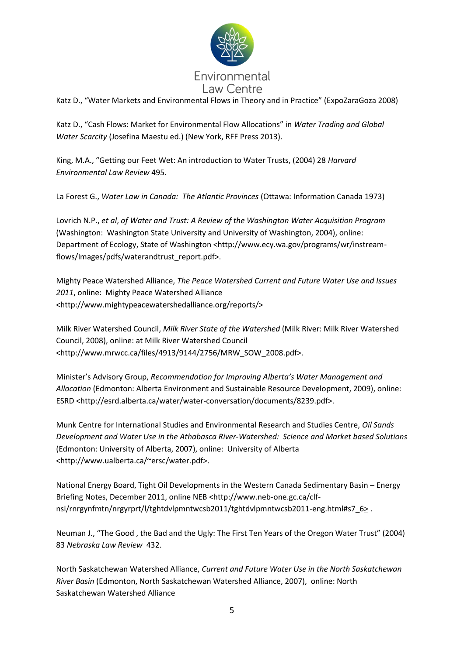

Katz D., "Water Markets and Environmental Flows in Theory and in Practice" (ExpoZaraGoza 2008)

Katz D., "Cash Flows: Market for Environmental Flow Allocations" in *Water Trading and Global Water Scarcity* (Josefina Maestu ed.) (New York, RFF Press 2013).

King, M.A., "Getting our Feet Wet: An introduction to Water Trusts, (2004) 28 *Harvard Environmental Law Review* 495.

La Forest G., *Water Law in Canada: The Atlantic Provinces* (Ottawa: Information Canada 1973)

Lovrich N.P., *et al*, *of Water and Trust: A Review of the Washington Water Acquisition Program*  (Washington: Washington State University and University of Washington, 2004), online: Department of Ecology, State of Washington <http://www.ecy.wa.gov/programs/wr/instreamflows/Images/pdfs/waterandtrust\_report.pdf>.

Mighty Peace Watershed Alliance, *The Peace Watershed Current and Future Water Use and Issues 2011*, online: Mighty Peace Watershed Alliance <http://www.mightypeacewatershedalliance.org/reports/>

Milk River Watershed Council, *Milk River State of the Watershed* (Milk River: Milk River Watershed Council, 2008), online: at Milk River Watershed Council <http://www.mrwcc.ca/files/4913/9144/2756/MRW\_SOW\_2008.pdf>.

Minister's Advisory Group, *Recommendation for Improving Alberta's Water Management and Allocation* (Edmonton: Alberta Environment and Sustainable Resource Development, 2009), online: ESRD <http://esrd.alberta.ca/water/water-conversation/documents/8239.pdf>.

Munk Centre for International Studies and Environmental Research and Studies Centre, *Oil Sands Development and Water Use in the Athabasca River-Watershed: Science and Market based Solutions*  (Edmonton: University of Alberta, 2007), online: University of Alberta <http://www.ualberta.ca/~ersc/water.pdf>.

National Energy Board, Tight Oil Developments in the Western Canada Sedimentary Basin – Energy Briefing Notes, December 2011, online NEB <http://www.neb-one.gc.ca/clfnsi/rnrgynfmtn/nrgyrprt/l/tghtdvlpmntwcsb2011/tghtdvlpmntwcsb2011-eng.html#s7\_6> .

Neuman J., "The Good , the Bad and the Ugly: The First Ten Years of the Oregon Water Trust" (2004) 83 *Nebraska Law Review* 432.

North Saskatchewan Watershed Alliance, *Current and Future Water Use in the North Saskatchewan River Basin* (Edmonton, North Saskatchewan Watershed Alliance, 2007), online: North Saskatchewan Watershed Alliance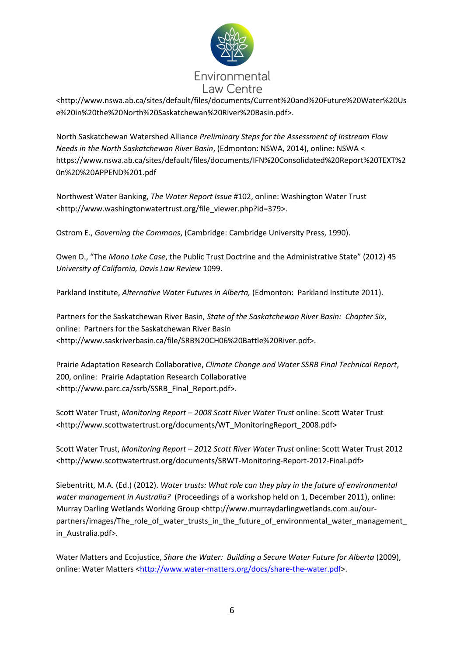

<http://www.nswa.ab.ca/sites/default/files/documents/Current%20and%20Future%20Water%20Us e%20in%20the%20North%20Saskatchewan%20River%20Basin.pdf>.

North Saskatchewan Watershed Alliance *Preliminary Steps for the Assessment of Instream Flow Needs in the North Saskatchewan River Basin*, (Edmonton: NSWA, 2014), online: NSWA < https://www.nswa.ab.ca/sites/default/files/documents/IFN%20Consolidated%20Report%20TEXT%2 0n%20%20APPEND%201.pdf

Northwest Water Banking, *The Water Report Issue* #102, online: Washington Water Trust <http://www.washingtonwatertrust.org/file\_viewer.php?id=379>.

Ostrom E., *Governing the Commons*, (Cambridge: Cambridge University Press, 1990).

Owen D., "The *Mono Lake Case*, the Public Trust Doctrine and the Administrative State" (2012) 45 *University of California, Davis Law Review* 1099.

Parkland Institute, *Alternative Water Futures in Alberta,* (Edmonton: Parkland Institute 2011).

Partners for the Saskatchewan River Basin, *State of the Saskatchewan River Basin: Chapter Six*, online: Partners for the Saskatchewan River Basin <http://www.saskriverbasin.ca/file/SRB%20CH06%20Battle%20River.pdf>.

Prairie Adaptation Research Collaborative, *Climate Change and Water SSRB Final Technical Report*, 200, online: Prairie Adaptation Research Collaborative <http://www.parc.ca/ssrb/SSRB\_Final\_Report.pdf>.

Scott Water Trust, *Monitoring Report – 2008 Scott River Water Trust* online: Scott Water Trust <http://www.scottwatertrust.org/documents/WT\_MonitoringReport\_2008.pdf>

Scott Water Trust, *Monitoring Report – 20*12 *Scott River Water Trust* online: Scott Water Trust 2012 <http://www.scottwatertrust.org/documents/SRWT-Monitoring-Report-2012-Final.pdf>

Siebentritt, M.A. (Ed.) (2012). *Water trusts: What role can they play in the future of environmental water management in Australia?* (Proceedings of a workshop held on 1, December 2011), online: Murray Darling Wetlands Working Group <http://www.murraydarlingwetlands.com.au/ourpartners/images/The role of water trusts in the future of environmental water management in\_Australia.pdf>.

Water Matters and Ecojustice, *Share the Water: Building a Secure Water Future for Alberta* (2009), online: Water Matters [<http://www.water-matters.org/docs/share-the-water.pdf>](http://www.water-matters.org/docs/share-the-water.pdf).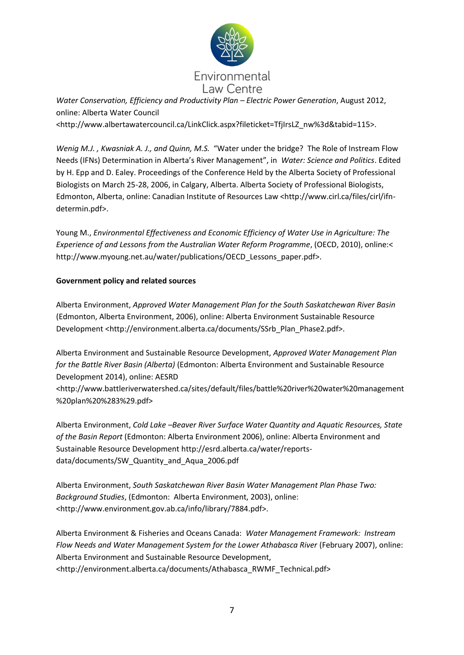

*Water Conservation, Efficiency and Productivity Plan – Electric Power Generation*, August 2012, online: Alberta Water Council

<http://www.albertawatercouncil.ca/LinkClick.aspx?fileticket=TfjIrsLZ\_nw%3d&tabid=115>.

*Wenig M.J. , Kwasniak A. J., and Quinn, M.S.* "Water under the bridge? The Role of Instream Flow Needs (IFNs) Determination in Alberta's River Management", in *Water: Science and Politics*. Edited by H. Epp and D. Ealey. Proceedings of the Conference Held by the Alberta Society of Professional Biologists on March 25-28, 2006, in Calgary, Alberta. Alberta Society of Professional Biologists, Edmonton, Alberta, online: Canadian Institute of Resources Law <http://www.cirl.ca/files/cirl/ifndetermin.pdf>.

Young M., *Environmental Effectiveness and Economic Efficiency of Water Use in Agriculture: The Experience of and Lessons from the Australian Water Reform Programme*, (OECD, 2010), online:< http://www.myoung.net.au/water/publications/OECD Lessons paper.pdf>.

### **Government policy and related sources**

Alberta Environment, *Approved Water Management Plan for the South Saskatchewan River Basin* (Edmonton, Alberta Environment, 2006), online: Alberta Environment Sustainable Resource Development <http://environment.alberta.ca/documents/SSrb\_Plan\_Phase2.pdf>.

Alberta Environment and Sustainable Resource Development, *Approved Water Management Plan for the Battle River Basin (Alberta)* (Edmonton: Alberta Environment and Sustainable Resource Development 2014), online: AESRD

<http://www.battleriverwatershed.ca/sites/default/files/battle%20river%20water%20management %20plan%20%283%29.pdf>

Alberta Environment, *Cold Lake –Beaver River Surface Water Quantity and Aquatic Resources, State of the Basin Report* (Edmonton: Alberta Environment 2006), online: Alberta Environment and Sustainable Resource Development http://esrd.alberta.ca/water/reportsdata/documents/SW\_Quantity\_and\_Aqua\_2006.pdf

Alberta Environment, *South Saskatchewan River Basin Water Management Plan Phase Two: Background Studies*, (Edmonton: Alberta Environment, 2003), online: <http://www.environment.gov.ab.ca/info/library/7884.pdf>.

Alberta Environment & Fisheries and Oceans Canada: *Water Management Framework: Instream Flow Needs and Water Management System for the Lower Athabasca River* (February 2007), online: Alberta Environment and Sustainable Resource Development, <http://environment.alberta.ca/documents/Athabasca\_RWMF\_Technical.pdf>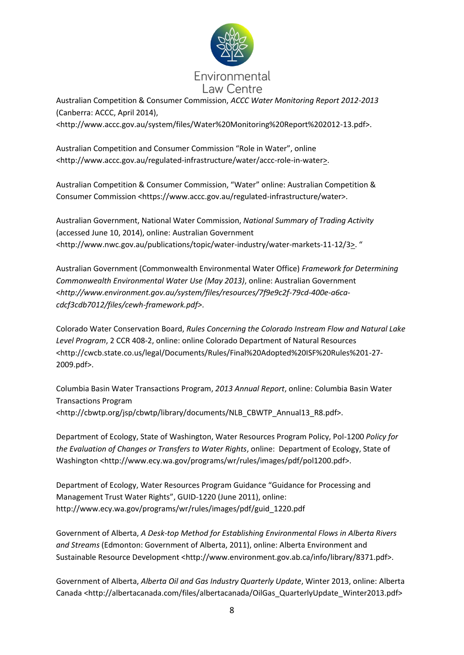

Australian Competition & Consumer Commission, *ACCC Water Monitoring Report 2012-2013*  (Canberra: ACCC, April 2014),

<http://www.accc.gov.au/system/files/Water%20Monitoring%20Report%202012-13.pdf>.

Australian Competition and Consumer Commission "Role in Water", online <http://www.accc.gov.au/regulated-infrastructure/water/accc-role-in-water>.

Australian Competition & Consumer Commission, "Water" online: Australian Competition & Consumer Commission <https://www.accc.gov.au/regulated-infrastructure/water>.

Australian Government, National Water Commission, *National Summary of Trading Activity* (accessed June 10, 2014), online: Australian Government <http://www.nwc.gov.au/publications/topic/water-industry/water-markets-11-12/3>. "

Australian Government (Commonwealth Environmental Water Office) *Framework for Determining Commonwealth Environmental Water Use (May 2013)*, online: Australian Government <*http://www.environment.gov.au/system/files/resources/7f9e9c2f-79cd-400e-a6cacdcf3cdb7012/files/cewh-framework.pdf>*.

Colorado Water Conservation Board, *Rules Concerning the Colorado Instream Flow and Natural Lake Level Program*, 2 CCR 408-2, online: online Colorado Department of Natural Resources <http://cwcb.state.co.us/legal/Documents/Rules/Final%20Adopted%20ISF%20Rules%201-27- 2009.pdf>.

Columbia Basin Water Transactions Program, *2013 Annual Report*, online: Columbia Basin Water Transactions Program <http://cbwtp.org/jsp/cbwtp/library/documents/NLB\_CBWTP\_Annual13\_R8.pdf>.

Department of Ecology, State of Washington, Water Resources Program Policy, Pol-1200 *Policy for the Evaluation of Changes or Transfers to Water Rights*, online: Department of Ecology, State of Washington <http://www.ecy.wa.gov/programs/wr/rules/images/pdf/pol1200.pdf>.

Department of Ecology, Water Resources Program Guidance "Guidance for Processing and Management Trust Water Rights", GUID-1220 (June 2011), online: http://www.ecy.wa.gov/programs/wr/rules/images/pdf/guid\_1220.pdf

Government of Alberta, *A Desk-top Method for Establishing Environmental Flows in Alberta Rivers and Streams* (Edmonton: Government of Alberta, 2011), online: Alberta Environment and Sustainable Resource Development <http://www.environment.gov.ab.ca/info/library/8371.pdf>.

Government of Alberta, *Alberta Oil and Gas Industry Quarterly Update*, Winter 2013, online: Alberta Canada <http://albertacanada.com/files/albertacanada/OilGas\_QuarterlyUpdate\_Winter2013.pdf>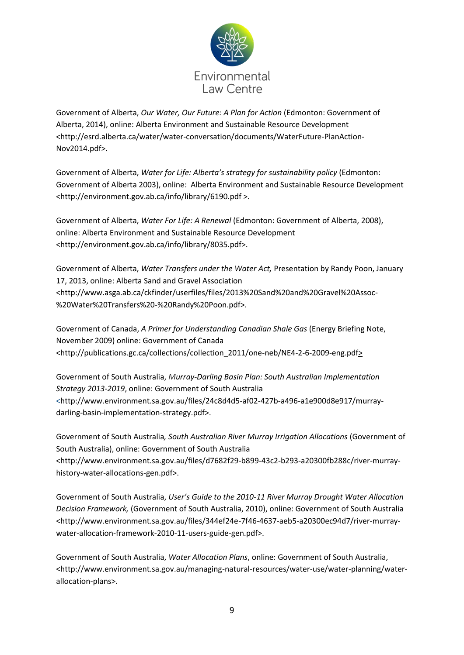

Government of Alberta, *Our Water, Our Future: A Plan for Action* (Edmonton: Government of Alberta, 2014), online: Alberta Environment and Sustainable Resource Development <http://esrd.alberta.ca/water/water-conversation/documents/WaterFuture-PlanAction-Nov2014.pdf>.

Government of Alberta, *Water for Life: Alberta's strategy for sustainability policy* (Edmonton: Government of Alberta 2003), online: Alberta Environment and Sustainable Resource Development <http://environment.gov.ab.ca/info/library/6190.pdf >.

Government of Alberta, *Water For Life: A Renewal* (Edmonton: Government of Alberta, 2008), online: Alberta Environment and Sustainable Resource Development <http://environment.gov.ab.ca/info/library/8035.pdf>.

Government of Alberta, *Water Transfers under the Water Act,* Presentation by Randy Poon, January 17, 2013, online: Alberta Sand and Gravel Association <http://www.asga.ab.ca/ckfinder/userfiles/files/2013%20Sand%20and%20Gravel%20Assoc- %20Water%20Transfers%20-%20Randy%20Poon.pdf>.

Government of Canada, *A Primer for Understanding Canadian Shale Gas* (Energy Briefing Note, November 2009) online: Government of Canada <http://publications.gc.ca/collections/collection\_2011/one-neb/NE4-2-6-2009-eng.pdf>

Government of South Australia, *Murray-Darling Basin Plan: South Australian Implementation Strategy 2013-2019*, online: Government of South Australia <http://www.environment.sa.gov.au/files/24c8d4d5-af02-427b-a496-a1e900d8e917/murraydarling-basin-implementation-strategy.pdf>.

Government of South Australia*, South Australian River Murray Irrigation Allocations* (Government of South Australia), online: Government of South Australia <http://www.environment.sa.gov.au/files/d7682f29-b899-43c2-b293-a20300fb288c/river-murrayhistory-water-allocations-gen.pdf>.

Government of South Australia, *User's Guide to the 2010-11 River Murray Drought Water Allocation Decision Framework,* (Government of South Australia, 2010), online: Government of South Australia <http://www.environment.sa.gov.au/files/344ef24e-7f46-4637-aeb5-a20300ec94d7/river-murraywater-allocation-framework-2010-11-users-guide-gen.pdf>.

Government of South Australia, *Water Allocation Plans*, online: Government of South Australia, <http://www.environment.sa.gov.au/managing-natural-resources/water-use/water-planning/waterallocation-plans>.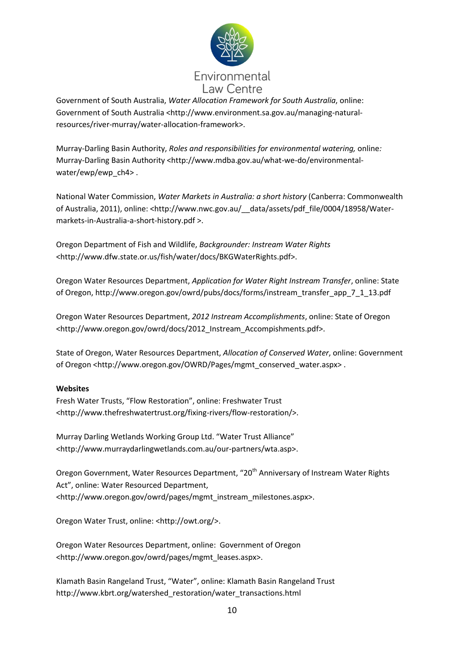

Government of South Australia, *Water Allocation Framework for South Australia*, online: Government of South Australia <http://www.environment.sa.gov.au/managing-naturalresources/river-murray/water-allocation-framework>.

Murray-Darling Basin Authority, *Roles and responsibilities for environmental watering,* online*:*  Murray-Darling Basin Authority <http://www.mdba.gov.au/what-we-do/environmentalwater/ewp/ewp\_ch4> .

National Water Commission, *Water Markets in Australia: a short history* (Canberra: Commonwealth of Australia, 2011), online: <http://www.nwc.gov.au/ data/assets/pdf file/0004/18958/Watermarkets-in-Australia-a-short-history.pdf >.

Oregon Department of Fish and Wildlife, *Backgrounder: Instream Water Rights* <http://www.dfw.state.or.us/fish/water/docs/BKGWaterRights.pdf>.

Oregon Water Resources Department, *Application for Water Right Instream Transfer*, online: State of Oregon, http://www.oregon.gov/owrd/pubs/docs/forms/instream\_transfer\_app\_7\_1\_13.pdf

Oregon Water Resources Department, *2012 Instream Accomplishments*, online: State of Oregon <http://www.oregon.gov/owrd/docs/2012\_Instream\_Accompishments.pdf>.

State of Oregon, Water Resources Department, *Allocation of Conserved Water*, online: Government of Oregon <http://www.oregon.gov/OWRD/Pages/mgmt\_conserved\_water.aspx>.

## **Websites**

Fresh Water Trusts, "Flow Restoration", online: Freshwater Trust <http://www.thefreshwatertrust.org/fixing-rivers/flow-restoration/>.

Murray Darling Wetlands Working Group Ltd. "Water Trust Alliance" <http://www.murraydarlingwetlands.com.au/our-partners/wta.asp>.

Oregon Government, Water Resources Department, "20<sup>th</sup> Anniversary of Instream Water Rights Act", online: Water Resourced Department, <http://www.oregon.gov/owrd/pages/mgmt\_instream\_milestones.aspx>.

Oregon Water Trust, online: <http://owt.org/>.

Oregon Water Resources Department, online: Government of Oregon <http://www.oregon.gov/owrd/pages/mgmt\_leases.aspx>.

Klamath Basin Rangeland Trust, "Water", online: Klamath Basin Rangeland Trust http://www.kbrt.org/watershed\_restoration/water\_transactions.html